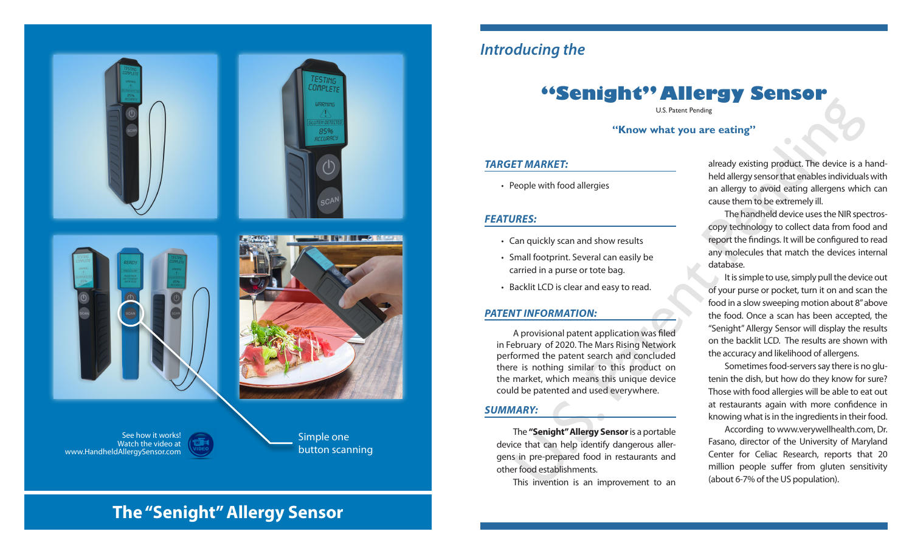

# *Introducing the*

# **"Senight" Allergy Sensor**

U.S. Patent Pending

**"Know what you are eating"**

## *TARGET MARKET:*

• People with food allergies

## *FEATURES:*

- Can quickly scan and show results
- Small footprint. Several can easily be carried in a purse or tote bag.
- Backlit LCD is clear and easy to read.

## *PATENT INFORMATION:*

A provisional patent application was filed in February of 2020. The Mars Rising Network performed the patent search and concluded there is nothing similar to this product on the market, which means this unique device could be patented and used everywhere.

#### *SUMMARY:*

The **"Senight" Allergy Sensor** is a portable device that can help identify dangerous allergens in pre-prepared food in restaurants and other food establishments.

This invention is an improvement to an

already existing product. The device is a handheld allergy sensor that enables individuals with an allergy to avoid eating allergens which can cause them to be extremely ill.

The handheld device uses the NIR spectroscopy technology to collect data from food and report the findings. It will be configured to read any molecules that match the devices internal database.

U.S. Patent Pending<br>
U.S. Patent Pending<br>
U.S. Patent Pending<br>
U.S. Patent Pending<br>
IT MARKET:<br>
Subset and altergy solver than the certain of the device is a help identify scan and show results<br>
IRES:<br>
IRES:<br>
IRES:<br>
IRES:<br> It is simple to use, simply pull the device out of your purse or pocket, turn it on and scan the food in a slow sweeping motion about 8" above the food. Once a scan has been accepted, the "Senight" Allergy Sensor will display the results on the backlit LCD. The results are shown with the accuracy and likelihood of allergens.

Sometimes food-servers say there is no glutenin the dish, but how do they know for sure? Those with food allergies will be able to eat out at restaurants again with more confidence in knowing what is in the ingredients in their food.

According to www.verywellhealth.com, Dr. Fasano, director of the University of Maryland Center for Celiac Research, reports that 20 million people suffer from gluten sensitivity (about 6-7% of the US population).

# **The "Senight" Allergy Sensor**